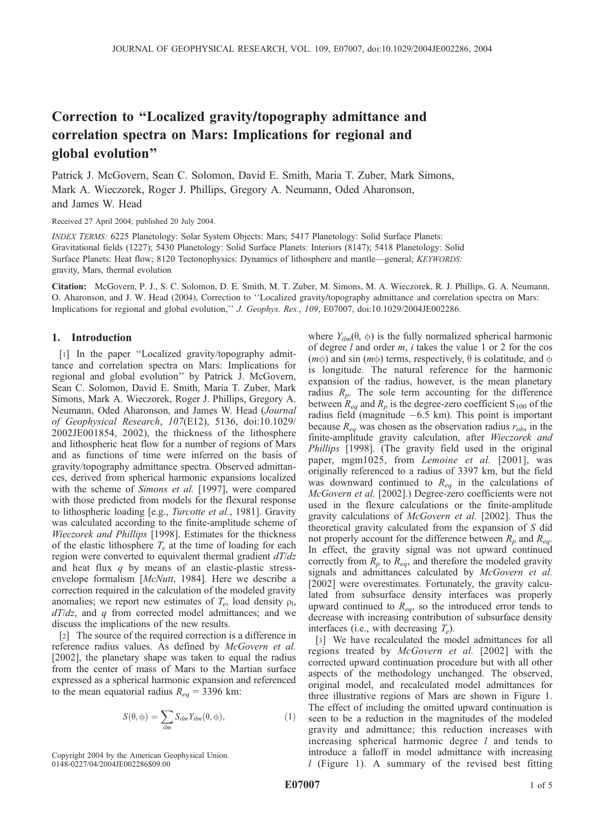# Correction to ''Localized gravity/topography admittance and correlation spectra on Mars: Implications for regional and global evolution''

Patrick J. McGovern, Sean C. Solomon, David E. Smith, Maria T. Zuber, Mark Simons, Mark A. Wieczorek, Roger J. Phillips, Gregory A. Neumann, Oded Aharonson, and James W. Head

Received 27 April 2004; published 20 July 2004.

INDEX TERMS: 6225 Planetology: Solar System Objects: Mars; 5417 Planetology: Solid Surface Planets: Gravitational fields (1227); 5430 Planetology: Solid Surface Planets: Interiors (8147); 5418 Planetology: Solid Surface Planets: Heat flow; 8120 Tectonophysics: Dynamics of lithosphere and mantle—general; KEYWORDS: gravity, Mars, thermal evolution

Citation: McGovern, P. J., S. C. Solomon, D. E. Smith, M. T. Zuber, M. Simons, M. A. Wieczorek, R. J. Phillips, G. A. Neumann, O. Aharonson, and J. W. Head (2004), Correction to ''Localized gravity/topography admittance and correlation spectra on Mars: Implications for regional and global evolution,'' J. Geophys. Res., 109, E07007, doi:10.1029/2004JE002286.

# 1. Introduction

[1] In the paper ''Localized gravity/topography admittance and correlation spectra on Mars: Implications for regional and global evolution'' by Patrick J. McGovern, Sean C. Solomon, David E. Smith, Maria T. Zuber, Mark Simons, Mark A. Wieczorek, Roger J. Phillips, Gregory A. Neumann, Oded Aharonson, and James W. Head (Journal of Geophysical Research, 107(E12), 5136, doi:10.1029/ 2002JE001854, 2002), the thickness of the lithosphere and lithospheric heat flow for a number of regions of Mars and as functions of time were inferred on the basis of gravity/topography admittance spectra. Observed admittances, derived from spherical harmonic expansions localized with the scheme of Simons et al. [1997], were compared with those predicted from models for the flexural response to lithospheric loading [e.g., Turcotte et al., 1981]. Gravity was calculated according to the finite-amplitude scheme of Wieczorek and Phillips [1998]. Estimates for the thickness of the elastic lithosphere  $T_e$  at the time of loading for each region were converted to equivalent thermal gradient  $dT/dz$ and heat flux  $q$  by means of an elastic-plastic stressenvelope formalism [McNutt, 1984]. Here we describe a correction required in the calculation of the modeled gravity anomalies; we report new estimates of  $T_e$ , load density  $\rho_1$ ,  $dT/dz$ , and q from corrected model admittances; and we discuss the implications of the new results.

[2] The source of the required correction is a difference in reference radius values. As defined by McGovern et al. [2002], the planetary shape was taken to equal the radius from the center of mass of Mars to the Martian surface expressed as a spherical harmonic expansion and referenced to the mean equatorial radius  $R_{eq} = 3396$  km:

$$
S(\theta, \phi) = \sum_{ilm} S_{ilm} Y_{ilm}(\theta, \phi), \qquad (1)
$$

Copyright 2004 by the American Geophysical Union. 0148-0227/04/2004JE002286\$09.00

where  $Y_{ilm}(\theta, \phi)$  is the fully normalized spherical harmonic of degree l and order m, i takes the value 1 or 2 for the cos ( $m\phi$ ) and sin ( $m\phi$ ) terms, respectively,  $\theta$  is colatitude, and  $\phi$ is longitude. The natural reference for the harmonic expansion of the radius, however, is the mean planetary radius  $R_p$ . The sole term accounting for the difference between  $R_{eq}$  and  $R_p$  is the degree-zero coefficient S<sub>100</sub> of the radius field (magnitude  $-6.5$  km). This point is important because  $R_{eq}$  was chosen as the observation radius  $r_{obs}$  in the finite-amplitude gravity calculation, after Wieczorek and Phillips [1998]. (The gravity field used in the original paper, mgm1025, from Lemoine et al. [2001], was originally referenced to a radius of 3397 km, but the field was downward continued to  $R_{eq}$  in the calculations of McGovern et al. [2002].) Degree-zero coefficients were not used in the flexure calculations or the finite-amplitude gravity calculations of McGovern et al. [2002]. Thus the theoretical gravity calculated from the expansion of S did not properly account for the difference between  $R_p$  and  $R_{eq}$ . In effect, the gravity signal was not upward continued correctly from  $R_p$  to  $R_{eq}$ , and therefore the modeled gravity signals and admittances calculated by McGovern et al. [2002] were overestimates. Fortunately, the gravity calculated from subsurface density interfaces was properly upward continued to  $R_{eq}$ , so the introduced error tends to decrease with increasing contribution of subsurface density interfaces (i.e., with decreasing  $T_e$ ).

[3] We have recalculated the model admittances for all regions treated by *McGovern et al.* [2002] with the corrected upward continuation procedure but with all other aspects of the methodology unchanged. The observed, original model, and recalculated model admittances for three illustrative regions of Mars are shown in Figure 1. The effect of including the omitted upward continuation is seen to be a reduction in the magnitudes of the modeled gravity and admittance; this reduction increases with increasing spherical harmonic degree  $l$  and tends to introduce a falloff in model admittance with increasing l (Figure 1). A summary of the revised best fitting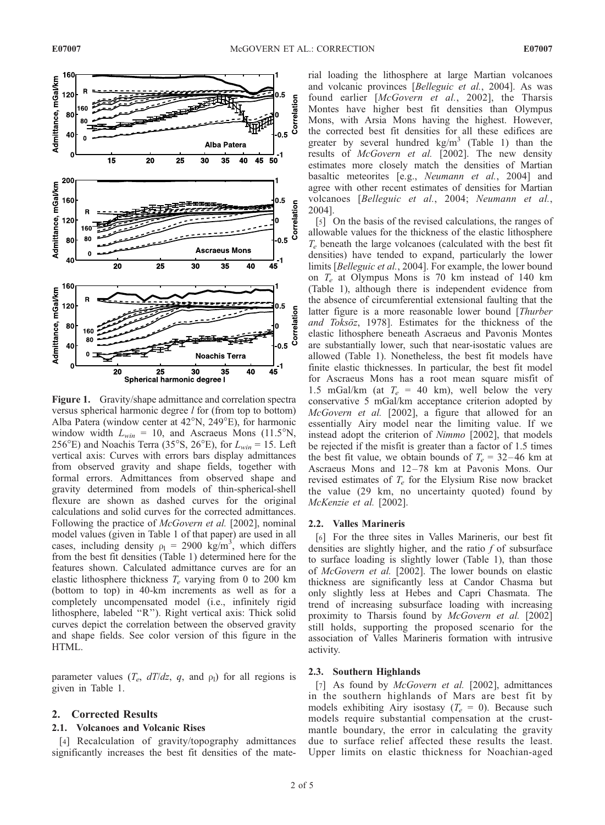

Figure 1. Gravity/shape admittance and correlation spectra versus spherical harmonic degree *l* for (from top to bottom) Alba Patera (window center at  $42^{\circ}$ N,  $249^{\circ}$ E), for harmonic window width  $L_{win} = 10$ , and Ascraeus Mons (11.5°N, 256°E) and Noachis Terra (35°S, 26°E), for  $L_{win} = 15$ . Left vertical axis: Curves with errors bars display admittances from observed gravity and shape fields, together with formal errors. Admittances from observed shape and gravity determined from models of thin-spherical-shell flexure are shown as dashed curves for the original calculations and solid curves for the corrected admittances. Following the practice of McGovern et al. [2002], nominal model values (given in Table 1 of that paper) are used in all cases, including density  $\rho_1 = 2900 \text{ kg/m}^3$ , which differs from the best fit densities (Table 1) determined here for the features shown. Calculated admittance curves are for an elastic lithosphere thickness  $T_e$  varying from 0 to 200 km (bottom to top) in 40-km increments as well as for a completely uncompensated model (i.e., infinitely rigid lithosphere, labeled ''R''). Right vertical axis: Thick solid curves depict the correlation between the observed gravity and shape fields. See color version of this figure in the HTML.

parameter values  $(T_e, dT/dz, q,$  and  $\rho_1$ ) for all regions is given in Table 1.

# 2. Corrected Results

#### 2.1. Volcanoes and Volcanic Rises

[4] Recalculation of gravity/topography admittances significantly increases the best fit densities of the material loading the lithosphere at large Martian volcanoes and volcanic provinces [Belleguic et al., 2004]. As was found earlier [McGovern et al., 2002], the Tharsis Montes have higher best fit densities than Olympus Mons, with Arsia Mons having the highest. However, the corrected best fit densities for all these edifices are greater by several hundred  $\text{kg/m}^3$  (Table 1) than the results of McGovern et al. [2002]. The new density estimates more closely match the densities of Martian basaltic meteorites [e.g., Neumann et al., 2004] and agree with other recent estimates of densities for Martian volcanoes [Belleguic et al., 2004; Neumann et al., 2004].

[5] On the basis of the revised calculations, the ranges of allowable values for the thickness of the elastic lithosphere  $T_e$  beneath the large volcanoes (calculated with the best fit densities) have tended to expand, particularly the lower limits [Belleguic et al., 2004]. For example, the lower bound on  $T_e$  at Olympus Mons is 70 km instead of 140 km (Table 1), although there is independent evidence from the absence of circumferential extensional faulting that the latter figure is a more reasonable lower bound [Thurber and Toksöz, 1978]. Estimates for the thickness of the elastic lithosphere beneath Ascraeus and Pavonis Montes are substantially lower, such that near-isostatic values are allowed (Table 1). Nonetheless, the best fit models have finite elastic thicknesses. In particular, the best fit model for Ascraeus Mons has a root mean square misfit of 1.5 mGal/km (at  $T_e$  = 40 km), well below the very conservative 5 mGal/km acceptance criterion adopted by McGovern et al. [2002], a figure that allowed for an essentially Airy model near the limiting value. If we instead adopt the criterion of Nimmo [2002], that models be rejected if the misfit is greater than a factor of 1.5 times the best fit value, we obtain bounds of  $T_e = 32-46$  km at Ascraeus Mons and 12-78 km at Pavonis Mons. Our revised estimates of  $T_e$  for the Elysium Rise now bracket the value (29 km, no uncertainty quoted) found by McKenzie et al. [2002].

#### 2.2. Valles Marineris

[6] For the three sites in Valles Marineris, our best fit densities are slightly higher, and the ratio  $f$  of subsurface to surface loading is slightly lower (Table 1), than those of McGovern et al. [2002]. The lower bounds on elastic thickness are significantly less at Candor Chasma but only slightly less at Hebes and Capri Chasmata. The trend of increasing subsurface loading with increasing proximity to Tharsis found by McGovern et al. [2002] still holds, supporting the proposed scenario for the association of Valles Marineris formation with intrusive activity.

# 2.3. Southern Highlands

[7] As found by McGovern et al. [2002], admittances in the southern highlands of Mars are best fit by models exhibiting Airy isostasy ( $T_e = 0$ ). Because such models require substantial compensation at the crustmantle boundary, the error in calculating the gravity due to surface relief affected these results the least. Upper limits on elastic thickness for Noachian-aged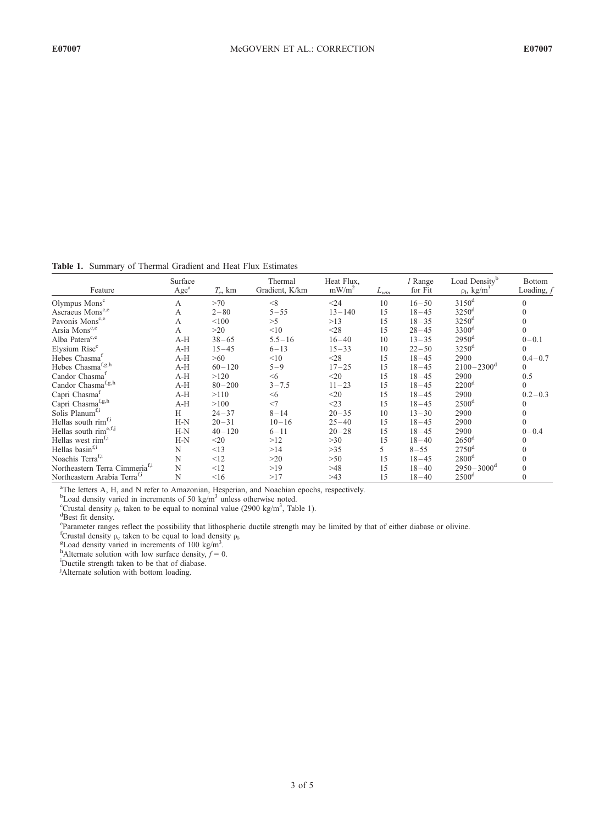Table 1. Summary of Thermal Gradient and Heat Flux Estimates

| Feature                                    | Surface<br>Age <sup>a</sup> | $T_e$ , km | Thermal<br>Gradient, K/km | Heat Flux,<br>mW/m <sup>2</sup> | $L_{win}$ | l Range<br>for Fit | Load Density <sup>b</sup><br>$\rho_l$ , kg/m <sup>3</sup> | <b>Bottom</b><br>Loading, $f$ |
|--------------------------------------------|-----------------------------|------------|---------------------------|---------------------------------|-----------|--------------------|-----------------------------------------------------------|-------------------------------|
| Olympus Mons <sup>c</sup>                  | A                           | >70        | $\leq$ 8                  | $24$                            | 10        | $16 - 50$          | $3150$ <sup>d</sup>                                       | $\Omega$                      |
| Ascraeus Mons <sup>c,e</sup>               | A                           | $2 - 80$   | $5 - 55$                  | $13 - 140$                      | 1.5       | $18 - 45$          | $3250$ <sup>d</sup>                                       | $\mathbf{0}$                  |
| Pavonis Mons <sup>c,e</sup>                | $\mathsf{A}$                | < 100      | >5                        | >13                             | 1.5       | $18 - 35$          | $3250$ <sup>d</sup>                                       | $\Omega$                      |
| Arsia Mons <sup>c,e</sup>                  | A                           | >20        | <10                       | $28$                            | 15        | $28 - 45$          | 3300 <sup>d</sup>                                         | $\mathbf{0}$                  |
| Alba Patera <sup>c,e</sup>                 | $A-H$                       | $38 - 65$  | $5.5 - 16$                | $16 - 40$                       | 10        | $13 - 35$          | $2950$ <sup>d</sup>                                       | $0 - 0.1$                     |
| Elysium Rise <sup>c</sup>                  | $A-H$                       | $15 - 45$  | $6 - 13$                  | $15 - 33$                       | 10        | $22 - 50$          | $3250$ <sup>d</sup>                                       | $\mathbf{0}$                  |
| Hebes Chasma <sup>f</sup>                  | $A-H$                       | >60        | <10                       | $28$                            | 15        | $18 - 45$          | 2900                                                      | $0.4 - 0.7$                   |
| Hebes Chasma <sup>f,g,h</sup>              | $A-H$                       | $60 - 120$ | $5 - 9$                   | $17 - 25$                       | 15        | $18 - 45$          | $2100 - 2300$ <sup>d</sup>                                | $\theta$                      |
| Candor Chasma <sup>f</sup>                 | $A-H$                       | >120       | $\leq 6$                  | $20$                            | 15        | $18 - 45$          | 2900                                                      | 0.5                           |
| Candor Chasma <sup>f,g,h</sup>             | $A-H$                       | $80 - 200$ | $3 - 7.5$                 | $11 - 23$                       | 15        | $18 - 45$          | 2200 <sup>d</sup>                                         | $\mathbf{0}$                  |
| Capri Chasma <sup>f</sup>                  | $A-H$                       | >110       | < 6                       | $20$                            | 15        | $18 - 45$          | 2900                                                      | $0.2 - 0.3$                   |
| Capri Chasma <sup>f,g,h</sup>              | $A-H$                       | >100       | $<$ 7                     | $<$ 23                          | 15        | $18 - 45$          | 2500 <sup>d</sup>                                         | $\Omega$                      |
| Solis Planum <sup>f,i</sup>                | Н                           | $24 - 37$  | $8 - 14$                  | $20 - 35$                       | 10        | $13 - 30$          | 2900                                                      | $\overline{0}$                |
| Hellas south rim <sup>f,i</sup>            | $H-N$                       | $20 - 31$  | $10 - 16$                 | $25 - 40$                       | 15        | $18 - 45$          | 2900                                                      | $\Omega$                      |
| Hellas south rime,f,j                      | $H-N$                       | $40 - 120$ | $6 - 11$                  | $20 - 28$                       | 15        | $18 - 45$          | 2900                                                      | $0 - 0.4$                     |
| Hellas west rim <sup>f,i</sup>             | $H-N$                       | $<$ 20     | >12                       | >30                             | 15        | $18 - 40$          | $2650$ <sup>d</sup>                                       | $\mathbf{0}$                  |
| Hellas basin <sup>f,i</sup>                | N                           | <13        | >14                       | >35                             | 5         | $8 - 55$           | $2750$ <sup>d</sup>                                       | $\mathbf{0}$                  |
| Noachis Terra <sup>f,i</sup>               | N                           | <12        | >20                       | >50                             | 15        | $18 - 45$          | 2800 <sup>d</sup>                                         | $\theta$                      |
| Northeastern Terra Cimmeria <sup>f,i</sup> | N                           | <12        | >19                       | >48                             | 15        | $18 - 40$          | $2950 - 3000^{\rm d}$                                     | $\Omega$                      |
| Northeastern Arabia Terra <sup>f,i</sup>   | N                           | <16        | >17                       | >43                             | 15        | $18 - 40$          | 2500 <sup>d</sup>                                         | $\theta$                      |

<sup>a</sup>The letters A, H, and N refer to Amazonian, Hesperian, and Noachian epochs, respectively.<br><sup>b</sup>Load density varied in increments of 50 kg/m<sup>3</sup> unless otherwise noted.<br><sup>c</sup>Crustal density a taken to be equal to pominal val

<sup>c</sup>Crustal density  $\rho_c$  taken to be equal to nominal value (2900 kg/m<sup>3</sup>, Table 1).

Best fit density.

<sup>e</sup> Parameter ranges reflect the possibility that lithospheric ductile strength may be limited by that of either diabase or olivine.<br><sup>f</sup>Crustal density  $\rho_c$  taken to be equal to load density  $\rho_l$ .<br><sup>ET</sup> and density varie

<sup>g</sup>Load density varied in increments of 100 kg/m<sup>3</sup>.

<sup>h</sup>Alternate solution with low surface density,  $f = 0$ .

Ductile strength taken to be that of diabase.

<sup>j</sup>Alternate solution with bottom loading.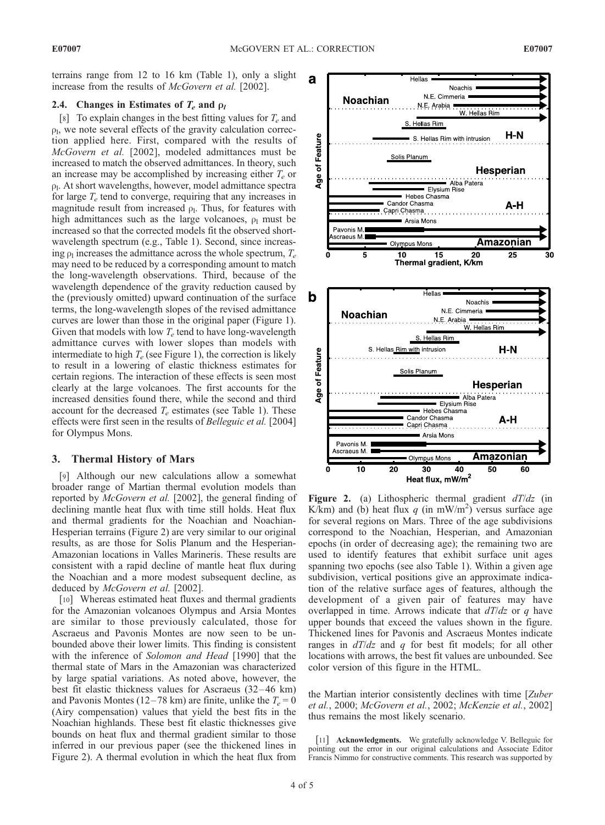terrains range from 12 to 16 km (Table 1), only a slight increase from the results of McGovern et al. [2002].

# 2.4. Changes in Estimates of  $T_e$  and  $\rho_l$

[8] To explain changes in the best fitting values for  $T_e$  and  $\rho_l$ , we note several effects of the gravity calculation correction applied here. First, compared with the results of McGovern et al. [2002], modeled admittances must be increased to match the observed admittances. In theory, such an increase may be accomplished by increasing either  $T_e$  or  $\rho$ <sub>l</sub>. At short wavelengths, however, model admittance spectra for large  $T_e$  tend to converge, requiring that any increases in magnitude result from increased  $\rho_1$ . Thus, for features with high admittances such as the large volcanoes,  $\rho_1$  must be increased so that the corrected models fit the observed shortwavelength spectrum (e.g., Table 1). Second, since increasing  $\rho_1$  increases the admittance across the whole spectrum,  $T_e$ may need to be reduced by a corresponding amount to match the long-wavelength observations. Third, because of the wavelength dependence of the gravity reduction caused by the (previously omitted) upward continuation of the surface terms, the long-wavelength slopes of the revised admittance curves are lower than those in the original paper (Figure 1). Given that models with low  $T_e$  tend to have long-wavelength admittance curves with lower slopes than models with intermediate to high  $T_e$  (see Figure 1), the correction is likely to result in a lowering of elastic thickness estimates for certain regions. The interaction of these effects is seen most clearly at the large volcanoes. The first accounts for the increased densities found there, while the second and third account for the decreased  $T_e$  estimates (see Table 1). These effects were first seen in the results of Belleguic et al. [2004] for Olympus Mons.

# 3. Thermal History of Mars

[9] Although our new calculations allow a somewhat broader range of Martian thermal evolution models than reported by McGovern et al. [2002], the general finding of declining mantle heat flux with time still holds. Heat flux and thermal gradients for the Noachian and Noachian-Hesperian terrains (Figure 2) are very similar to our original results, as are those for Solis Planum and the Hesperian-Amazonian locations in Valles Marineris. These results are consistent with a rapid decline of mantle heat flux during the Noachian and a more modest subsequent decline, as deduced by McGovern et al. [2002].

[10] Whereas estimated heat fluxes and thermal gradients for the Amazonian volcanoes Olympus and Arsia Montes are similar to those previously calculated, those for Ascraeus and Pavonis Montes are now seen to be unbounded above their lower limits. This finding is consistent with the inference of Solomon and Head [1990] that the thermal state of Mars in the Amazonian was characterized by large spatial variations. As noted above, however, the best fit elastic thickness values for Ascraeus (32 – 46 km) and Pavonis Montes (12–78 km) are finite, unlike the  $T_e = 0$ (Airy compensation) values that yield the best fits in the Noachian highlands. These best fit elastic thicknesses give bounds on heat flux and thermal gradient similar to those inferred in our previous paper (see the thickened lines in Figure 2). A thermal evolution in which the heat flux from



Figure 2. (a) Lithospheric thermal gradient  $dT/dz$  (in K/km) and (b) heat flux q (in mW/m<sup>2</sup>) versus surface age for several regions on Mars. Three of the age subdivisions correspond to the Noachian, Hesperian, and Amazonian epochs (in order of decreasing age); the remaining two are used to identify features that exhibit surface unit ages spanning two epochs (see also Table 1). Within a given age subdivision, vertical positions give an approximate indication of the relative surface ages of features, although the development of a given pair of features may have overlapped in time. Arrows indicate that  $dT/dz$  or q have upper bounds that exceed the values shown in the figure. Thickened lines for Pavonis and Ascraeus Montes indicate ranges in  $dT/dz$  and q for best fit models; for all other locations with arrows, the best fit values are unbounded. See color version of this figure in the HTML.

the Martian interior consistently declines with time [Zuber et al., 2000; McGovern et al., 2002; McKenzie et al., 2002] thus remains the most likely scenario.

[11] **Acknowledgments.** We gratefully acknowledge V. Belleguic for pointing out the error in our original calculations and Associate Editor Francis Nimmo for constructive comments. This research was supported by